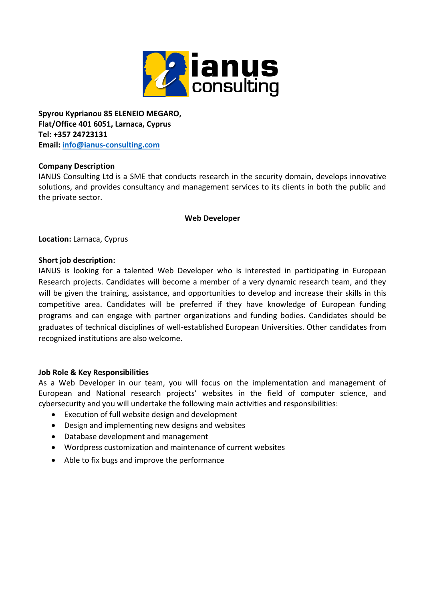

**Spyrou Kyprianou 85 ELENEIO MEGARO, Flat/Office 401 6051, Larnaca, Cyprus Tel: +357 24723131 Email: [info@ianus-consulting.com](mailto:info@ianus-consulting.com)**

# **Company Description**

IANUS Consulting Ltd is a SME that conducts research in the security domain, develops innovative solutions, and provides consultancy and management services to its clients in both the public and the private sector.

# **Web Developer**

**Location:** Larnaca, Cyprus

## **Short job description:**

IANUS is looking for a talented Web Developer who is interested in participating in European Research projects. Candidates will become a member of a very dynamic research team, and they will be given the training, assistance, and opportunities to develop and increase their skills in this competitive area. Candidates will be preferred if they have knowledge of European funding programs and can engage with partner organizations and funding bodies. Candidates should be graduates of technical disciplines of well-established European Universities. Other candidates from recognized institutions are also welcome.

## **Job Role & Key Responsibilities**

As a Web Developer in our team, you will focus on the implementation and management of European and National research projects' websites in the field of computer science, and cybersecurity and you will undertake the following main activities and responsibilities:

- Execution of full website design and development
- Design and implementing new designs and websites
- Database development and management
- Wordpress customization and maintenance of current websites
- Able to fix bugs and improve the performance